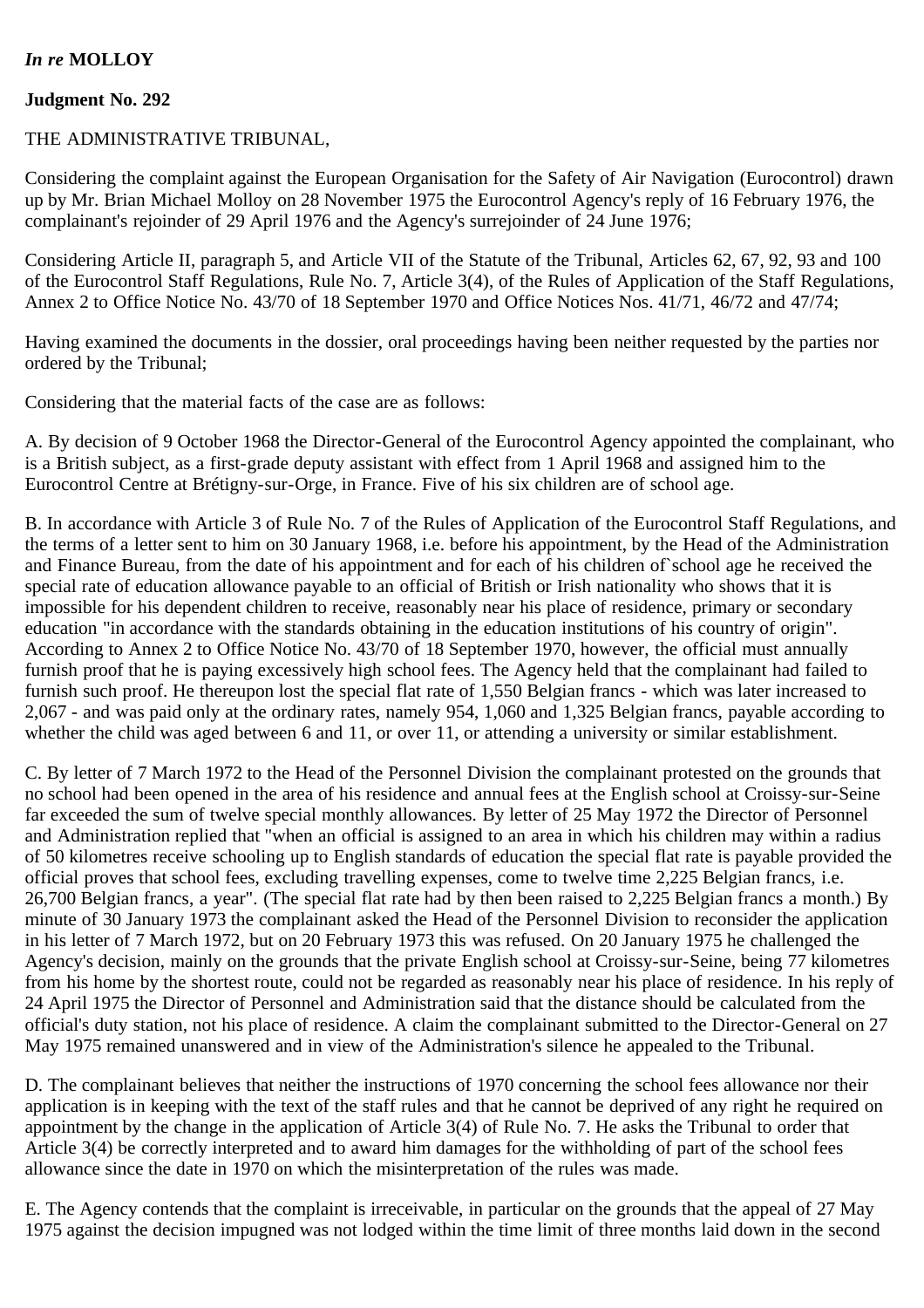## *In re* **MOLLOY**

## **Judgment No. 292**

## THE ADMINISTRATIVE TRIBUNAL,

Considering the complaint against the European Organisation for the Safety of Air Navigation (Eurocontrol) drawn up by Mr. Brian Michael Molloy on 28 November 1975 the Eurocontrol Agency's reply of 16 February 1976, the complainant's rejoinder of 29 April 1976 and the Agency's surrejoinder of 24 June 1976;

Considering Article II, paragraph 5, and Article VII of the Statute of the Tribunal, Articles 62, 67, 92, 93 and 100 of the Eurocontrol Staff Regulations, Rule No. 7, Article 3(4), of the Rules of Application of the Staff Regulations, Annex 2 to Office Notice No. 43/70 of 18 September 1970 and Office Notices Nos. 41/71, 46/72 and 47/74;

Having examined the documents in the dossier, oral proceedings having been neither requested by the parties nor ordered by the Tribunal;

Considering that the material facts of the case are as follows:

A. By decision of 9 October 1968 the Director-General of the Eurocontrol Agency appointed the complainant, who is a British subject, as a first-grade deputy assistant with effect from 1 April 1968 and assigned him to the Eurocontrol Centre at Brétigny-sur-Orge, in France. Five of his six children are of school age.

B. In accordance with Article 3 of Rule No. 7 of the Rules of Application of the Eurocontrol Staff Regulations, and the terms of a letter sent to him on 30 January 1968, i.e. before his appointment, by the Head of the Administration and Finance Bureau, from the date of his appointment and for each of his children of`school age he received the special rate of education allowance payable to an official of British or Irish nationality who shows that it is impossible for his dependent children to receive, reasonably near his place of residence, primary or secondary education "in accordance with the standards obtaining in the education institutions of his country of origin". According to Annex 2 to Office Notice No. 43/70 of 18 September 1970, however, the official must annually furnish proof that he is paying excessively high school fees. The Agency held that the complainant had failed to furnish such proof. He thereupon lost the special flat rate of 1,550 Belgian francs - which was later increased to 2,067 - and was paid only at the ordinary rates, namely 954, 1,060 and 1,325 Belgian francs, payable according to whether the child was aged between 6 and 11, or over 11, or attending a university or similar establishment.

C. By letter of 7 March 1972 to the Head of the Personnel Division the complainant protested on the grounds that no school had been opened in the area of his residence and annual fees at the English school at Croissy-sur-Seine far exceeded the sum of twelve special monthly allowances. By letter of 25 May 1972 the Director of Personnel and Administration replied that "when an official is assigned to an area in which his children may within a radius of 50 kilometres receive schooling up to English standards of education the special flat rate is payable provided the official proves that school fees, excluding travelling expenses, come to twelve time 2,225 Belgian francs, i.e. 26,700 Belgian francs, a year". (The special flat rate had by then been raised to 2,225 Belgian francs a month.) By minute of 30 January 1973 the complainant asked the Head of the Personnel Division to reconsider the application in his letter of 7 March 1972, but on 20 February 1973 this was refused. On 20 January 1975 he challenged the Agency's decision, mainly on the grounds that the private English school at Croissy-sur-Seine, being 77 kilometres from his home by the shortest route, could not be regarded as reasonably near his place of residence. In his reply of 24 April 1975 the Director of Personnel and Administration said that the distance should be calculated from the official's duty station, not his place of residence. A claim the complainant submitted to the Director-General on 27 May 1975 remained unanswered and in view of the Administration's silence he appealed to the Tribunal.

D. The complainant believes that neither the instructions of 1970 concerning the school fees allowance nor their application is in keeping with the text of the staff rules and that he cannot be deprived of any right he required on appointment by the change in the application of Article 3(4) of Rule No. 7. He asks the Tribunal to order that Article 3(4) be correctly interpreted and to award him damages for the withholding of part of the school fees allowance since the date in 1970 on which the misinterpretation of the rules was made.

E. The Agency contends that the complaint is irreceivable, in particular on the grounds that the appeal of 27 May 1975 against the decision impugned was not lodged within the time limit of three months laid down in the second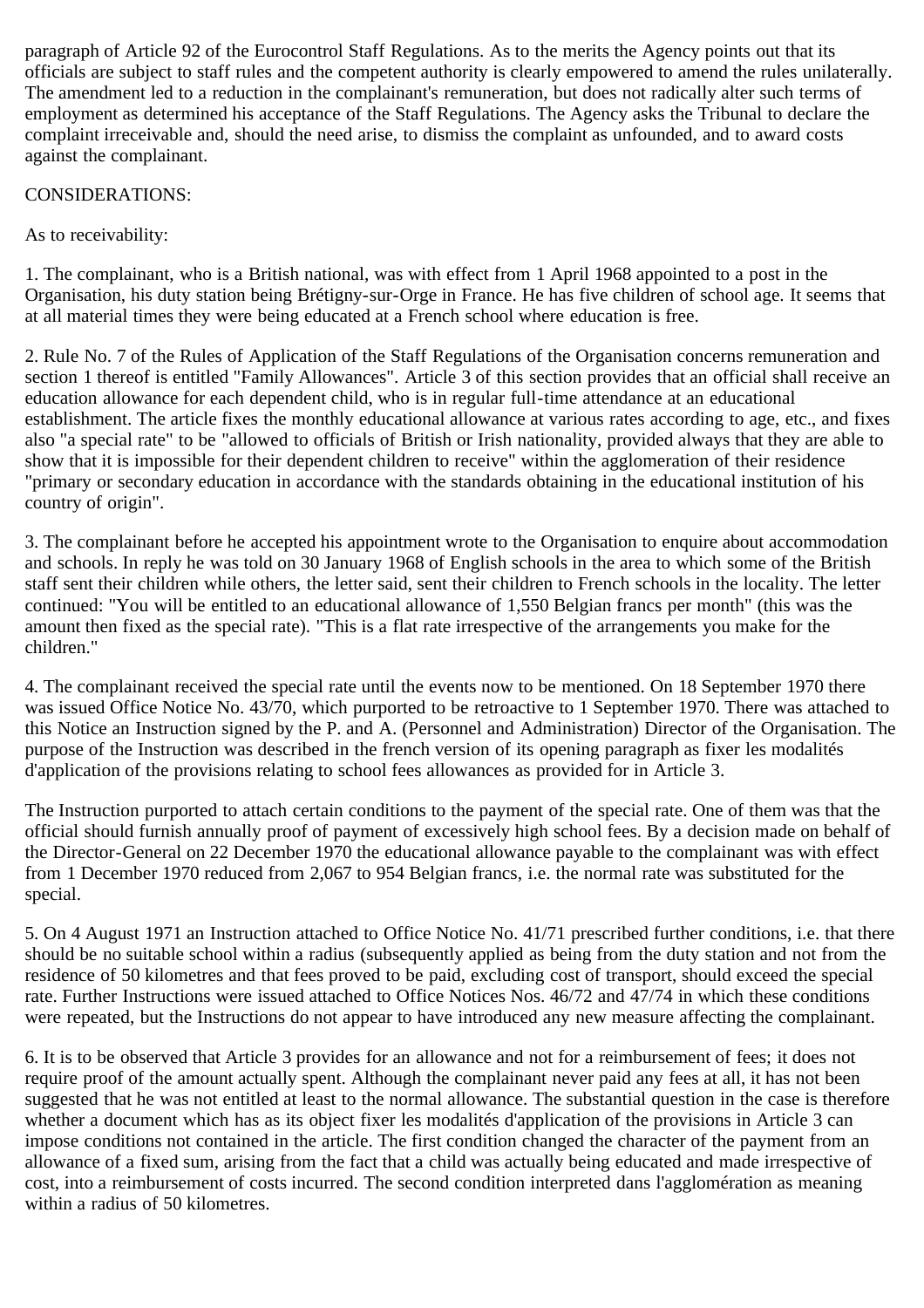paragraph of Article 92 of the Eurocontrol Staff Regulations. As to the merits the Agency points out that its officials are subject to staff rules and the competent authority is clearly empowered to amend the rules unilaterally. The amendment led to a reduction in the complainant's remuneration, but does not radically alter such terms of employment as determined his acceptance of the Staff Regulations. The Agency asks the Tribunal to declare the complaint irreceivable and, should the need arise, to dismiss the complaint as unfounded, and to award costs against the complainant.

## CONSIDERATIONS:

As to receivability:

1. The complainant, who is a British national, was with effect from 1 April 1968 appointed to a post in the Organisation, his duty station being Brétigny-sur-Orge in France. He has five children of school age. It seems that at all material times they were being educated at a French school where education is free.

2. Rule No. 7 of the Rules of Application of the Staff Regulations of the Organisation concerns remuneration and section 1 thereof is entitled "Family Allowances". Article 3 of this section provides that an official shall receive an education allowance for each dependent child, who is in regular full-time attendance at an educational establishment. The article fixes the monthly educational allowance at various rates according to age, etc., and fixes also "a special rate" to be "allowed to officials of British or Irish nationality, provided always that they are able to show that it is impossible for their dependent children to receive" within the agglomeration of their residence "primary or secondary education in accordance with the standards obtaining in the educational institution of his country of origin".

3. The complainant before he accepted his appointment wrote to the Organisation to enquire about accommodation and schools. In reply he was told on 30 January 1968 of English schools in the area to which some of the British staff sent their children while others, the letter said, sent their children to French schools in the locality. The letter continued: "You will be entitled to an educational allowance of 1,550 Belgian francs per month" (this was the amount then fixed as the special rate). "This is a flat rate irrespective of the arrangements you make for the children."

4. The complainant received the special rate until the events now to be mentioned. On 18 September 1970 there was issued Office Notice No. 43/70, which purported to be retroactive to 1 September 1970. There was attached to this Notice an Instruction signed by the P. and A. (Personnel and Administration) Director of the Organisation. The purpose of the Instruction was described in the french version of its opening paragraph as fixer les modalités d'application of the provisions relating to school fees allowances as provided for in Article 3.

The Instruction purported to attach certain conditions to the payment of the special rate. One of them was that the official should furnish annually proof of payment of excessively high school fees. By a decision made on behalf of the Director-General on 22 December 1970 the educational allowance payable to the complainant was with effect from 1 December 1970 reduced from 2,067 to 954 Belgian francs, i.e. the normal rate was substituted for the special.

5. On 4 August 1971 an Instruction attached to Office Notice No. 41/71 prescribed further conditions, i.e. that there should be no suitable school within a radius (subsequently applied as being from the duty station and not from the residence of 50 kilometres and that fees proved to be paid, excluding cost of transport, should exceed the special rate. Further Instructions were issued attached to Office Notices Nos. 46/72 and 47/74 in which these conditions were repeated, but the Instructions do not appear to have introduced any new measure affecting the complainant.

6. It is to be observed that Article 3 provides for an allowance and not for a reimbursement of fees; it does not require proof of the amount actually spent. Although the complainant never paid any fees at all, it has not been suggested that he was not entitled at least to the normal allowance. The substantial question in the case is therefore whether a document which has as its object fixer les modalités d'application of the provisions in Article 3 can impose conditions not contained in the article. The first condition changed the character of the payment from an allowance of a fixed sum, arising from the fact that a child was actually being educated and made irrespective of cost, into a reimbursement of costs incurred. The second condition interpreted dans l'agglomération as meaning within a radius of 50 kilometres.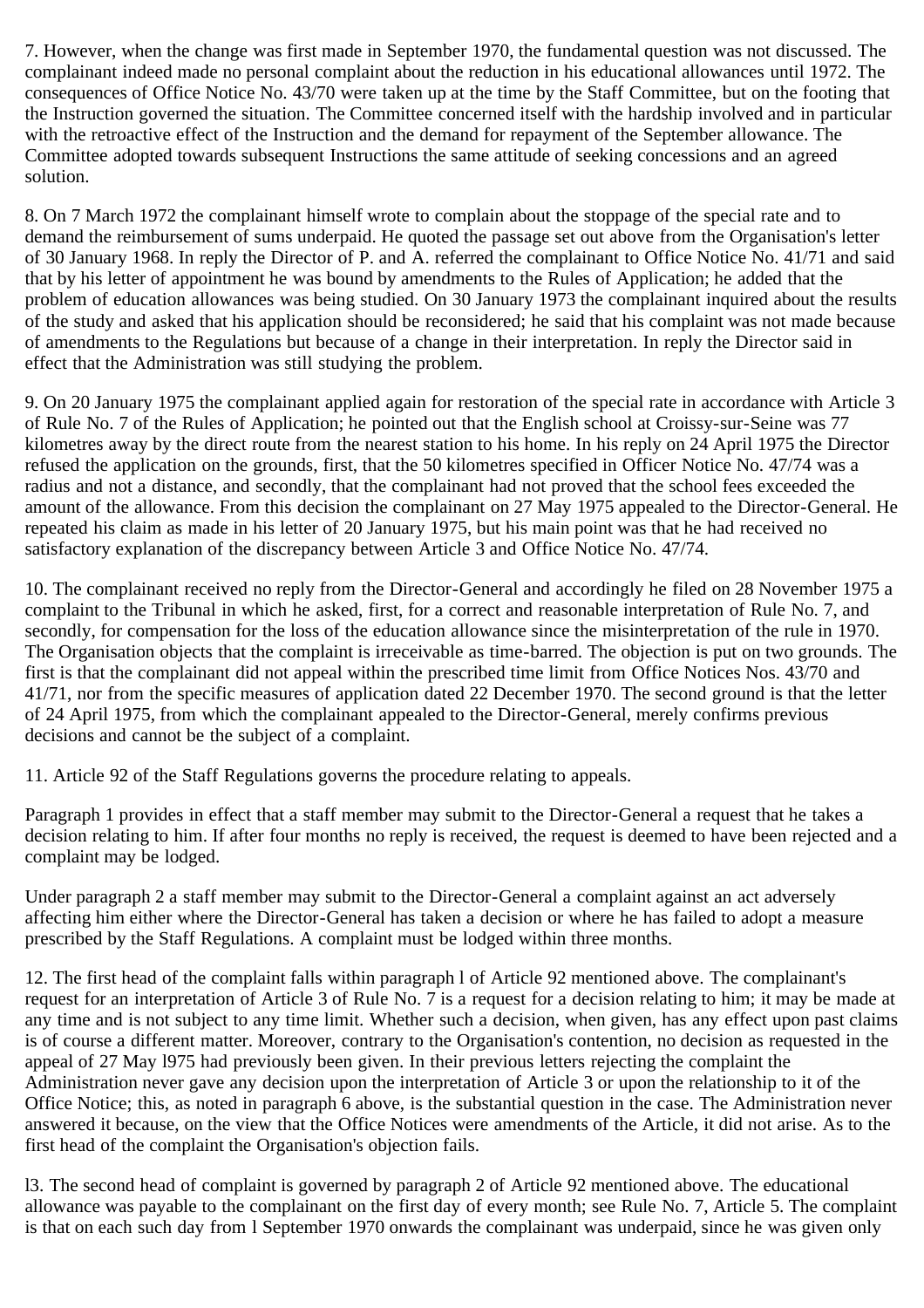7. However, when the change was first made in September 1970, the fundamental question was not discussed. The complainant indeed made no personal complaint about the reduction in his educational allowances until 1972. The consequences of Office Notice No. 43/70 were taken up at the time by the Staff Committee, but on the footing that the Instruction governed the situation. The Committee concerned itself with the hardship involved and in particular with the retroactive effect of the Instruction and the demand for repayment of the September allowance. The Committee adopted towards subsequent Instructions the same attitude of seeking concessions and an agreed solution.

8. On 7 March 1972 the complainant himself wrote to complain about the stoppage of the special rate and to demand the reimbursement of sums underpaid. He quoted the passage set out above from the Organisation's letter of 30 January 1968. In reply the Director of P. and A. referred the complainant to Office Notice No. 41/71 and said that by his letter of appointment he was bound by amendments to the Rules of Application; he added that the problem of education allowances was being studied. On 30 January 1973 the complainant inquired about the results of the study and asked that his application should be reconsidered; he said that his complaint was not made because of amendments to the Regulations but because of a change in their interpretation. In reply the Director said in effect that the Administration was still studying the problem.

9. On 20 January 1975 the complainant applied again for restoration of the special rate in accordance with Article 3 of Rule No. 7 of the Rules of Application; he pointed out that the English school at Croissy-sur-Seine was 77 kilometres away by the direct route from the nearest station to his home. In his reply on 24 April 1975 the Director refused the application on the grounds, first, that the 50 kilometres specified in Officer Notice No. 47/74 was a radius and not a distance, and secondly, that the complainant had not proved that the school fees exceeded the amount of the allowance. From this decision the complainant on 27 May 1975 appealed to the Director-General. He repeated his claim as made in his letter of 20 January 1975, but his main point was that he had received no satisfactory explanation of the discrepancy between Article 3 and Office Notice No. 47/74.

10. The complainant received no reply from the Director-General and accordingly he filed on 28 November 1975 a complaint to the Tribunal in which he asked, first, for a correct and reasonable interpretation of Rule No. 7, and secondly, for compensation for the loss of the education allowance since the misinterpretation of the rule in 1970. The Organisation objects that the complaint is irreceivable as time-barred. The objection is put on two grounds. The first is that the complainant did not appeal within the prescribed time limit from Office Notices Nos. 43/70 and 41/71, nor from the specific measures of application dated 22 December 1970. The second ground is that the letter of 24 April 1975, from which the complainant appealed to the Director-General, merely confirms previous decisions and cannot be the subject of a complaint.

11. Article 92 of the Staff Regulations governs the procedure relating to appeals.

Paragraph 1 provides in effect that a staff member may submit to the Director-General a request that he takes a decision relating to him. If after four months no reply is received, the request is deemed to have been rejected and a complaint may be lodged.

Under paragraph 2 a staff member may submit to the Director-General a complaint against an act adversely affecting him either where the Director-General has taken a decision or where he has failed to adopt a measure prescribed by the Staff Regulations. A complaint must be lodged within three months.

12. The first head of the complaint falls within paragraph l of Article 92 mentioned above. The complainant's request for an interpretation of Article 3 of Rule No. 7 is a request for a decision relating to him; it may be made at any time and is not subject to any time limit. Whether such a decision, when given, has any effect upon past claims is of course a different matter. Moreover, contrary to the Organisation's contention, no decision as requested in the appeal of 27 May l975 had previously been given. In their previous letters rejecting the complaint the Administration never gave any decision upon the interpretation of Article 3 or upon the relationship to it of the Office Notice; this, as noted in paragraph 6 above, is the substantial question in the case. The Administration never answered it because, on the view that the Office Notices were amendments of the Article, it did not arise. As to the first head of the complaint the Organisation's objection fails.

l3. The second head of complaint is governed by paragraph 2 of Article 92 mentioned above. The educational allowance was payable to the complainant on the first day of every month; see Rule No. 7, Article 5. The complaint is that on each such day from l September 1970 onwards the complainant was underpaid, since he was given only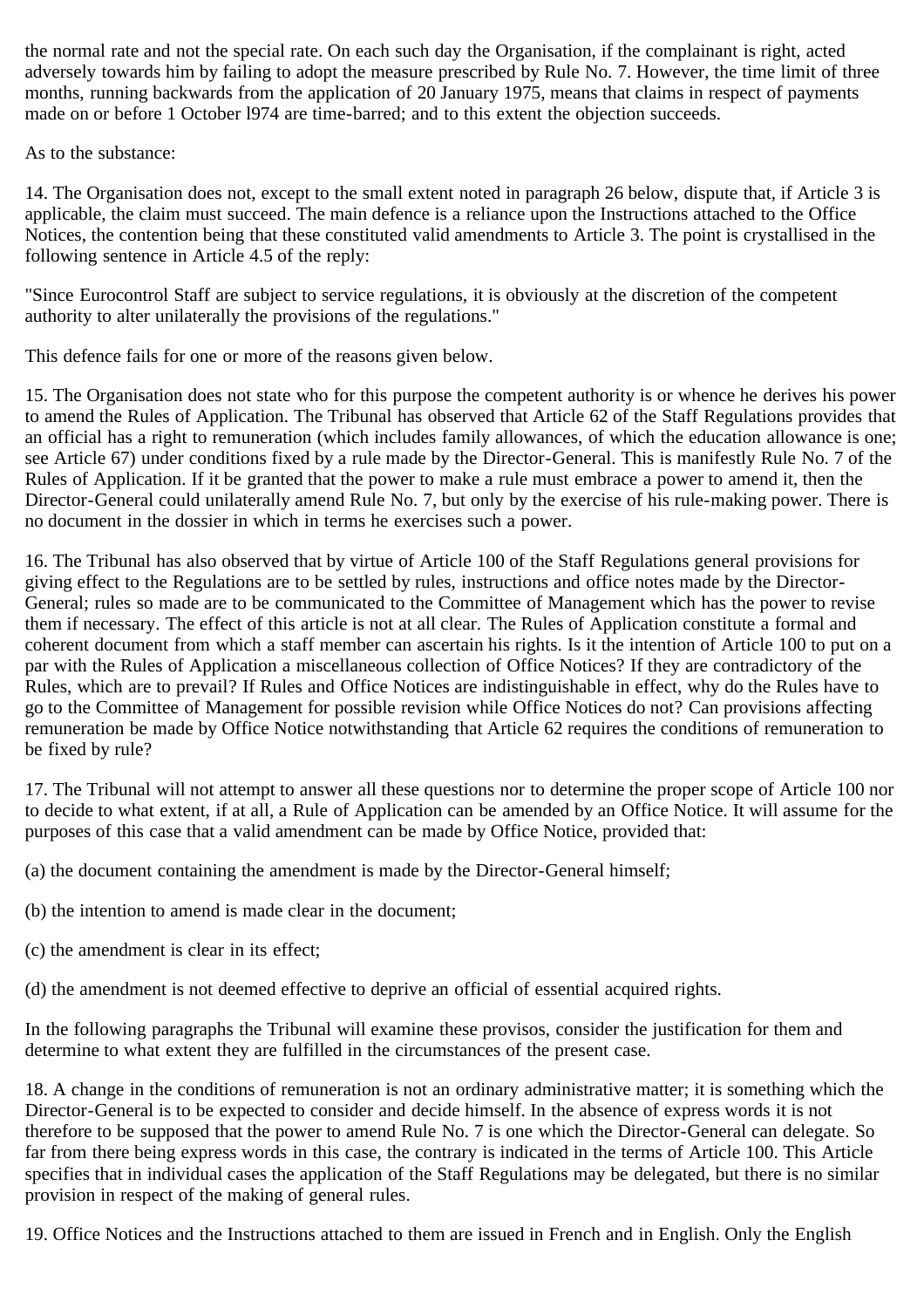the normal rate and not the special rate. On each such day the Organisation, if the complainant is right, acted adversely towards him by failing to adopt the measure prescribed by Rule No. 7. However, the time limit of three months, running backwards from the application of 20 January 1975, means that claims in respect of payments made on or before 1 October l974 are time-barred; and to this extent the objection succeeds.

As to the substance:

14. The Organisation does not, except to the small extent noted in paragraph 26 below, dispute that, if Article 3 is applicable, the claim must succeed. The main defence is a reliance upon the Instructions attached to the Office Notices, the contention being that these constituted valid amendments to Article 3. The point is crystallised in the following sentence in Article 4.5 of the reply:

"Since Eurocontrol Staff are subject to service regulations, it is obviously at the discretion of the competent authority to alter unilaterally the provisions of the regulations."

This defence fails for one or more of the reasons given below.

15. The Organisation does not state who for this purpose the competent authority is or whence he derives his power to amend the Rules of Application. The Tribunal has observed that Article 62 of the Staff Regulations provides that an official has a right to remuneration (which includes family allowances, of which the education allowance is one; see Article 67) under conditions fixed by a rule made by the Director-General. This is manifestly Rule No. 7 of the Rules of Application. If it be granted that the power to make a rule must embrace a power to amend it, then the Director-General could unilaterally amend Rule No. 7, but only by the exercise of his rule-making power. There is no document in the dossier in which in terms he exercises such a power.

16. The Tribunal has also observed that by virtue of Article 100 of the Staff Regulations general provisions for giving effect to the Regulations are to be settled by rules, instructions and office notes made by the Director-General; rules so made are to be communicated to the Committee of Management which has the power to revise them if necessary. The effect of this article is not at all clear. The Rules of Application constitute a formal and coherent document from which a staff member can ascertain his rights. Is it the intention of Article 100 to put on a par with the Rules of Application a miscellaneous collection of Office Notices? If they are contradictory of the Rules, which are to prevail? If Rules and Office Notices are indistinguishable in effect, why do the Rules have to go to the Committee of Management for possible revision while Office Notices do not? Can provisions affecting remuneration be made by Office Notice notwithstanding that Article 62 requires the conditions of remuneration to be fixed by rule?

17. The Tribunal will not attempt to answer all these questions nor to determine the proper scope of Article 100 nor to decide to what extent, if at all, a Rule of Application can be amended by an Office Notice. It will assume for the purposes of this case that a valid amendment can be made by Office Notice, provided that:

(a) the document containing the amendment is made by the Director-General himself;

- (b) the intention to amend is made clear in the document;
- (c) the amendment is clear in its effect;

(d) the amendment is not deemed effective to deprive an official of essential acquired rights.

In the following paragraphs the Tribunal will examine these provisos, consider the justification for them and determine to what extent they are fulfilled in the circumstances of the present case.

18. A change in the conditions of remuneration is not an ordinary administrative matter; it is something which the Director-General is to be expected to consider and decide himself. In the absence of express words it is not therefore to be supposed that the power to amend Rule No. 7 is one which the Director-General can delegate. So far from there being express words in this case, the contrary is indicated in the terms of Article 100. This Article specifies that in individual cases the application of the Staff Regulations may be delegated, but there is no similar provision in respect of the making of general rules.

19. Office Notices and the Instructions attached to them are issued in French and in English. Only the English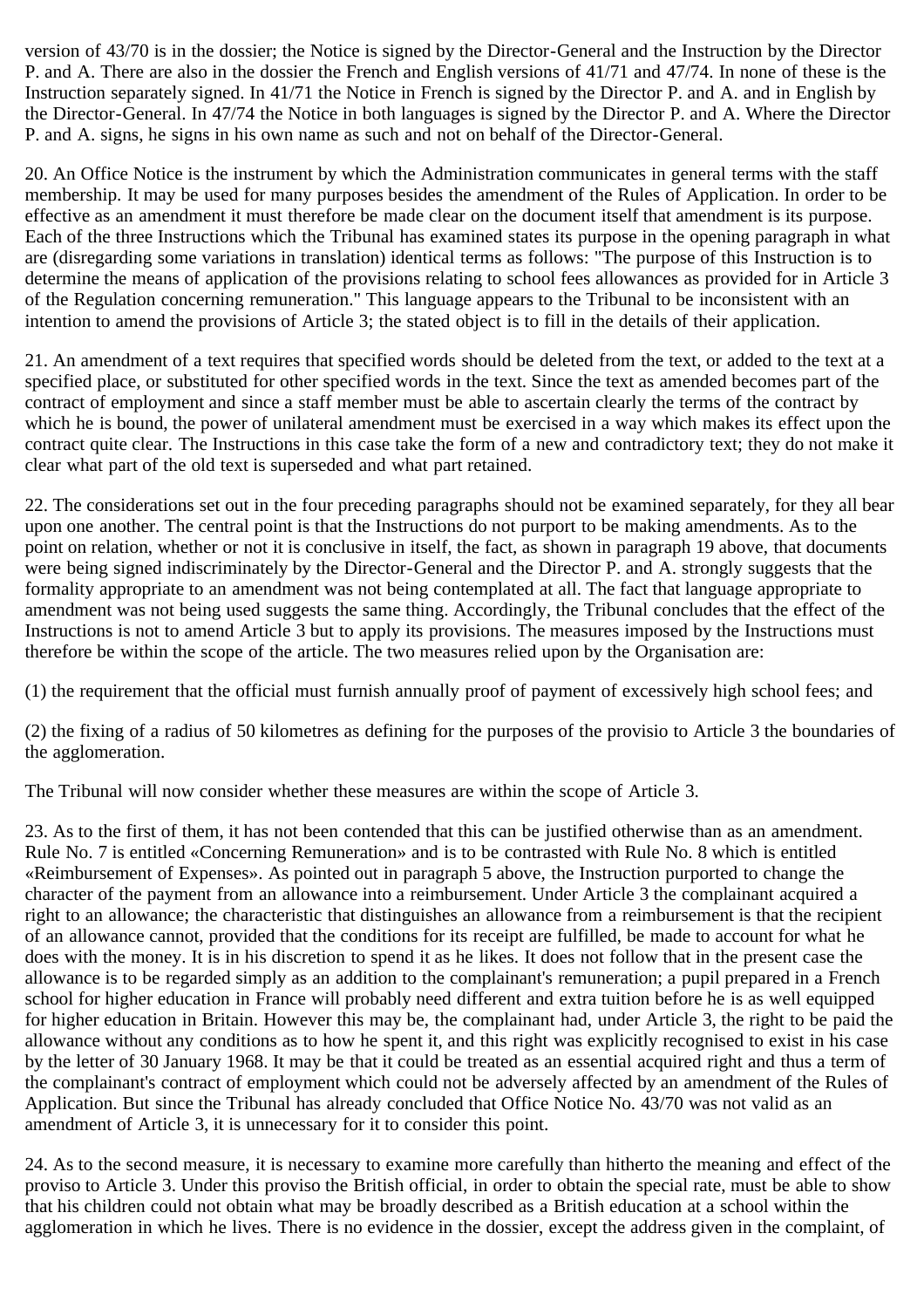version of 43/70 is in the dossier; the Notice is signed by the Director-General and the Instruction by the Director P. and A. There are also in the dossier the French and English versions of 41/71 and 47/74. In none of these is the Instruction separately signed. In 41/71 the Notice in French is signed by the Director P. and A. and in English by the Director-General. In 47/74 the Notice in both languages is signed by the Director P. and A. Where the Director P. and A. signs, he signs in his own name as such and not on behalf of the Director-General.

20. An Office Notice is the instrument by which the Administration communicates in general terms with the staff membership. It may be used for many purposes besides the amendment of the Rules of Application. In order to be effective as an amendment it must therefore be made clear on the document itself that amendment is its purpose. Each of the three Instructions which the Tribunal has examined states its purpose in the opening paragraph in what are (disregarding some variations in translation) identical terms as follows: "The purpose of this Instruction is to determine the means of application of the provisions relating to school fees allowances as provided for in Article 3 of the Regulation concerning remuneration." This language appears to the Tribunal to be inconsistent with an intention to amend the provisions of Article 3; the stated object is to fill in the details of their application.

21. An amendment of a text requires that specified words should be deleted from the text, or added to the text at a specified place, or substituted for other specified words in the text. Since the text as amended becomes part of the contract of employment and since a staff member must be able to ascertain clearly the terms of the contract by which he is bound, the power of unilateral amendment must be exercised in a way which makes its effect upon the contract quite clear. The Instructions in this case take the form of a new and contradictory text; they do not make it clear what part of the old text is superseded and what part retained.

22. The considerations set out in the four preceding paragraphs should not be examined separately, for they all bear upon one another. The central point is that the Instructions do not purport to be making amendments. As to the point on relation, whether or not it is conclusive in itself, the fact, as shown in paragraph 19 above, that documents were being signed indiscriminately by the Director-General and the Director P. and A. strongly suggests that the formality appropriate to an amendment was not being contemplated at all. The fact that language appropriate to amendment was not being used suggests the same thing. Accordingly, the Tribunal concludes that the effect of the Instructions is not to amend Article 3 but to apply its provisions. The measures imposed by the Instructions must therefore be within the scope of the article. The two measures relied upon by the Organisation are:

(1) the requirement that the official must furnish annually proof of payment of excessively high school fees; and

(2) the fixing of a radius of 50 kilometres as defining for the purposes of the provisio to Article 3 the boundaries of the agglomeration.

The Tribunal will now consider whether these measures are within the scope of Article 3.

23. As to the first of them, it has not been contended that this can be justified otherwise than as an amendment. Rule No. 7 is entitled «Concerning Remuneration» and is to be contrasted with Rule No. 8 which is entitled «Reimbursement of Expenses». As pointed out in paragraph 5 above, the Instruction purported to change the character of the payment from an allowance into a reimbursement. Under Article 3 the complainant acquired a right to an allowance; the characteristic that distinguishes an allowance from a reimbursement is that the recipient of an allowance cannot, provided that the conditions for its receipt are fulfilled, be made to account for what he does with the money. It is in his discretion to spend it as he likes. It does not follow that in the present case the allowance is to be regarded simply as an addition to the complainant's remuneration; a pupil prepared in a French school for higher education in France will probably need different and extra tuition before he is as well equipped for higher education in Britain. However this may be, the complainant had, under Article 3, the right to be paid the allowance without any conditions as to how he spent it, and this right was explicitly recognised to exist in his case by the letter of 30 January 1968. It may be that it could be treated as an essential acquired right and thus a term of the complainant's contract of employment which could not be adversely affected by an amendment of the Rules of Application. But since the Tribunal has already concluded that Office Notice No. 43/70 was not valid as an amendment of Article 3, it is unnecessary for it to consider this point.

24. As to the second measure, it is necessary to examine more carefully than hitherto the meaning and effect of the proviso to Article 3. Under this proviso the British official, in order to obtain the special rate, must be able to show that his children could not obtain what may be broadly described as a British education at a school within the agglomeration in which he lives. There is no evidence in the dossier, except the address given in the complaint, of